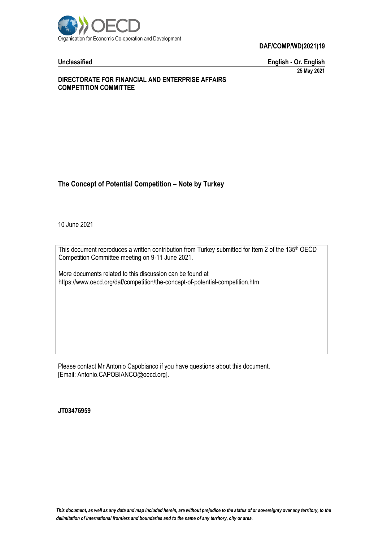

**DAF/COMP/WD(2021)19**

**Unclassified English - Or. English 25 May 2021**

# **DIRECTORATE FOR FINANCIAL AND ENTERPRISE AFFAIRS COMPETITION COMMITTEE**

# **The Concept of Potential Competition – Note by Turkey**

10 June 2021

This document reproduces a written contribution from Turkey submitted for Item 2 of the 135<sup>th</sup> OECD Competition Committee meeting on 9-11 June 2021.

More documents related to this discussion can be found at https://www.oecd.org/daf/competition/the-concept-of-potential-competition.htm

Please contact Mr Antonio Capobianco if you have questions about this document. [Email: Antonio.CAPOBIANCO@oecd.org].

**JT03476959**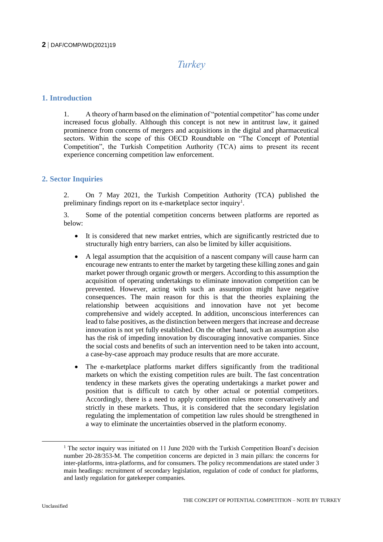# **2** DAF/COMP/WD(2021)19

# *Turkey*

# **1. Introduction**

1. A theory of harm based on the elimination of "potential competitor" has come under increased focus globally. Although this concept is not new in antitrust law, it gained prominence from concerns of mergers and acquisitions in the digital and pharmaceutical sectors. Within the scope of this OECD Roundtable on "The Concept of Potential Competition", the Turkish Competition Authority (TCA) aims to present its recent experience concerning competition law enforcement.

# **2. Sector Inquiries**

2. On 7 May 2021, the Turkish Competition Authority (TCA) published the preliminary findings report on its e-market place sector inquiry<sup>1</sup>.

3. Some of the potential competition concerns between platforms are reported as below:

- It is considered that new market entries, which are significantly restricted due to structurally high entry barriers, can also be limited by killer acquisitions.
- A legal assumption that the acquisition of a nascent company will cause harm can encourage new entrants to enter the market by targeting these killing zones and gain market power through organic growth or mergers. According to this assumption the acquisition of operating undertakings to eliminate innovation competition can be prevented. However, acting with such an assumption might have negative consequences. The main reason for this is that the theories explaining the relationship between acquisitions and innovation have not yet become comprehensive and widely accepted. In addition, unconscious interferences can lead to false positives, as the distinction between mergers that increase and decrease innovation is not yet fully established. On the other hand, such an assumption also has the risk of impeding innovation by discouraging innovative companies. Since the social costs and benefits of such an intervention need to be taken into account, a case-by-case approach may produce results that are more accurate.
- The e-marketplace platforms market differs significantly from the traditional markets on which the existing competition rules are built. The fast concentration tendency in these markets gives the operating undertakings a market power and position that is difficult to catch by other actual or potential competitors. Accordingly, there is a need to apply competition rules more conservatively and strictly in these markets. Thus, it is considered that the secondary legislation regulating the implementation of competition law rules should be strengthened in a way to eliminate the uncertainties observed in the platform economy.

 $\overline{a}$ 

 $1$  The sector inquiry was initiated on 11 June 2020 with the Turkish Competition Board's decision number 20-28/353-M. The competition concerns are depicted in 3 main pillars: the concerns for inter-platforms, intra-platforms, and for consumers. The policy recommendations are stated under 3 main headings: recruitment of secondary legislation, regulation of code of conduct for platforms, and lastly regulation for gatekeeper companies.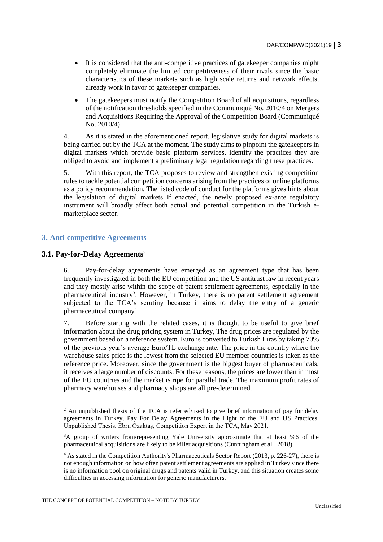- It is considered that the anti-competitive practices of gatekeeper companies might completely eliminate the limited competitiveness of their rivals since the basic characteristics of these markets such as high scale returns and network effects, already work in favor of gatekeeper companies.
- The gatekeepers must notify the Competition Board of all acquisitions, regardless of the notification thresholds specified in the Communiqué No. 2010/4 on Mergers and Acquisitions Requiring the Approval of the Competition Board (Communiqué No. 2010/4)

4. As it is stated in the aforementioned report, legislative study for digital markets is being carried out by the TCA at the moment. The study aims to pinpoint the gatekeepers in digital markets which provide basic platform services, identify the practices they are obliged to avoid and implement a preliminary legal regulation regarding these practices.

5. With this report, the TCA proposes to review and strengthen existing competition rules to tackle potential competition concerns arising from the practices of online platforms as a policy recommendation. The listed code of conduct for the platforms gives hints about the legislation of digital markets If enacted, the newly proposed ex-ante regulatory instrument will broadly affect both actual and potential competition in the Turkish emarketplace sector.

# **3. Anti-competitive Agreements**

# **3.1. Pay-for-Delay Agreements**<sup>2</sup>

 $\overline{a}$ 

6. Pay-for-delay agreements have emerged as an agreement type that has been frequently investigated in both the EU competition and the US antitrust law in recent years and they mostly arise within the scope of patent settlement agreements, especially in the pharmaceutical industry<sup>3</sup>. However, in Turkey, there is no patent settlement agreement subjected to the TCA's scrutiny because it aims to delay the entry of a generic pharmaceutical company<sup>4</sup>.

7. Before starting with the related cases, it is thought to be useful to give brief information about the drug pricing system in Turkey, The drug prices are regulated by the government based on a reference system. Euro is converted to Turkish Liras by taking 70% of the previous year's average Euro/TL exchange rate. The price in the country where the warehouse sales price is the lowest from the selected EU member countries is taken as the reference price. Moreover, since the government is the biggest buyer of pharmaceuticals, it receives a large number of discounts. For these reasons, the prices are lower than in most of the EU countries and the market is ripe for parallel trade. The maximum profit rates of pharmacy warehouses and pharmacy shops are all pre-determined.

<sup>&</sup>lt;sup>2</sup> An unpublished thesis of the TCA is referred/used to give brief information of pay for delay agreements in Turkey, Pay For Delay Agreements in the Light of the EU and US Practices, Unpublished Thesis, Ebru Özaktaş, Competition Expert in the TCA, May 2021.

<sup>&</sup>lt;sup>3</sup>A group of writers from/representing Yale University approximate that at least %6 of the pharmaceutical acquisitions are likely to be killer acquisitions (Cunningham et al. 2018)

<sup>4</sup> As stated in the Competition Authority's Pharmaceuticals Sector Report (2013, p. 226-27), there is not enough information on how often patent settlement agreements are applied in Turkey since there is no information pool on original drugs and patents valid in Turkey, and this situation creates some difficulties in accessing information for generic manufacturers.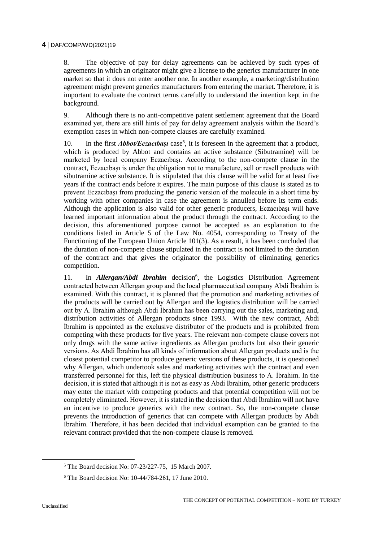8. The objective of pay for delay agreements can be achieved by such types of agreements in which an originator might give a license to the generics manufacturer in one market so that it does not enter another one. In another example, a marketing/distribution agreement might prevent generics manufacturers from entering the market. Therefore, it is important to evaluate the contract terms carefully to understand the intention kept in the background.

9. Although there is no anti-competitive patent settlement agreement that the Board examined yet, there are still hints of pay for delay agreement analysis within the Board's exemption cases in which non-compete clauses are carefully examined.

10. In the first *Abbot/Eczacibaşi* case<sup>5</sup>, it is foreseen in the agreement that a product, which is produced by Abbot and contains an active substance (Sibutramine) will be marketed by local company Eczacıbaşı. According to the non-compete clause in the contract, Eczacıbaşı is under the obligation not to manufacture, sell or resell products with sibutramine active substance. It is stipulated that this clause will be valid for at least five years if the contract ends before it expires. The main purpose of this clause is stated as to prevent Eczacıbaşı from producing the generic version of the molecule in a short time by working with other companies in case the agreement is annulled before its term ends. Although the application is also valid for other generic producers, Eczacıbaşı will have learned important information about the product through the contract. According to the decision, this aforementioned purpose cannot be accepted as an explanation to the conditions listed in Article 5 of the Law No. 4054, corresponding to Treaty of the Functioning of the European Union Article 101(3). As a result, it has been concluded that the duration of non-compete clause stipulated in the contract is not limited to the duration of the contract and that gives the originator the possibility of eliminating generics competition.

11. In *Allergan/Abdi Ibrahim* decision<sup>6</sup>, the Logistics Distribution Agreement contracted between Allergan group and the local pharmaceutical company Abdi İbrahim is examined. With this contract, it is planned that the promotion and marketing activities of the products will be carried out by Allergan and the logistics distribution will be carried out by A. İbrahim although Abdi İbrahim has been carrying out the sales, marketing and, distribution activities of Allergan products since 1993. With the new contract, Abdi İbrahim is appointed as the exclusive distributor of the products and is prohibited from competing with these products for five years. The relevant non-compete clause covers not only drugs with the same active ingredients as Allergan products but also their generic versions. As Abdi İbrahim has all kinds of information about Allergan products and is the closest potential competitor to produce generic versions of these products, it is questioned why Allergan, which undertook sales and marketing activities with the contract and even transferred personnel for this, left the physical distribution business to A. İbrahim. In the decision, it is stated that although it is not as easy as Abdi İbrahim, other generic producers may enter the market with competing products and that potential competition will not be completely eliminated. However, it is stated in the decision that Abdi İbrahim will not have an incentive to produce generics with the new contract. So, the non-compete clause prevents the introduction of generics that can compete with Allergan products by Abdi İbrahim. Therefore, it has been decided that individual exemption can be granted to the relevant contract provided that the non-compete clause is removed.

<sup>5</sup> The Board decision No: 07-23/227-75, 15 March 2007.

<sup>6</sup> The Board decision No: 10-44/784-261, 17 June 2010.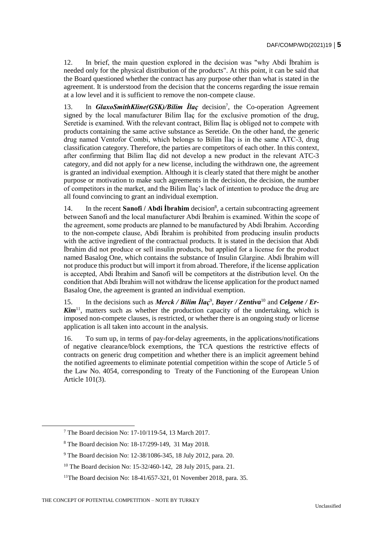12. In brief, the main question explored in the decision was "why Abdi İbrahim is needed only for the physical distribution of the products". At this point, it can be said that the Board questioned whether the contract has any purpose other than what is stated in the agreement. It is understood from the decision that the concerns regarding the issue remain at a low level and it is sufficient to remove the non-compete clause.

13. In **GlaxoSmithKline(GSK)/Bilim Ilaç** decision<sup>7</sup>, the Co-operation Agreement signed by the local manufacturer Bilim İlaç for the exclusive promotion of the drug, Seretide is examined. With the relevant contract, Bilim İlaç is obliged not to compete with products containing the same active substance as Seretide. On the other hand, the generic drug named Ventofor Combi, which belongs to Bilim İlaç is in the same ATC-3, drug classification category. Therefore, the parties are competitors of each other. In this context, after confirming that Bilim İlaç did not develop a new product in the relevant ATC-3 category, and did not apply for a new license, including the withdrawn one, the agreement is granted an individual exemption. Although it is clearly stated that there might be another purpose or motivation to make such agreements in the decision, the decision, the number of competitors in the market, and the Bilim İlaç's lack of intention to produce the drug are all found convincing to grant an individual exemption.

14. In the recent **Sanofi** / **Abdi İbrahim** decision<sup>8</sup>, a certain subcontracting agreement between Sanofi and the local manufacturer Abdi İbrahim is examined. Within the scope of the agreement, some products are planned to be manufactured by Abdi İbrahim. According to the non-compete clause, Abdi İbrahim is prohibited from producing insulin products with the active ingredient of the contractual products. It is stated in the decision that Abdi İbrahim did not produce or sell insulin products, but applied for a license for the product named Basalog One, which contains the substance of Insulin Glargine. Abdi İbrahim will not produce this product but will import it from abroad. Therefore, if the license application is accepted, Abdi İbrahim and Sanofi will be competitors at the distribution level. On the condition that Abdi İbrahim will not withdraw the license application for the product named Basalog One, the agreement is granted an individual exemption.

15. In the decisions such as *Merck / Bilim Ilaç<sup>9</sup>*, *Bayer / Zentiva*<sup>10</sup> and *Celgene / Er-Kim*<sup>11</sup>, matters such as whether the production capacity of the undertaking, which is imposed non-compete clauses, is restricted, or whether there is an ongoing study or license application is all taken into account in the analysis.

16. To sum up, in terms of pay-for-delay agreements, in the applications/notifications of negative clearance/block exemptions, the TCA questions the restrictive effects of contracts on generic drug competition and whether there is an implicit agreement behind the notified agreements to eliminate potential competition within the scope of Article 5 of the Law No. 4054, corresponding to Treaty of the Functioning of the European Union Article 101(3).

<sup>7</sup> The Board decision No: 17-10/119-54, 13 March 2017.

<sup>8</sup> The Board decision No: 18-17/299-149, 31 May 2018.

<sup>9</sup> The Board decision No: 12-38/1086-345, 18 July 2012, para. 20.

<sup>&</sup>lt;sup>10</sup> The Board decision No: 15-32/460-142, 28 July 2015, para. 21.

<sup>&</sup>lt;sup>11</sup>The Board decision No:  $18-41/657-321$ , 01 November 2018, para. 35.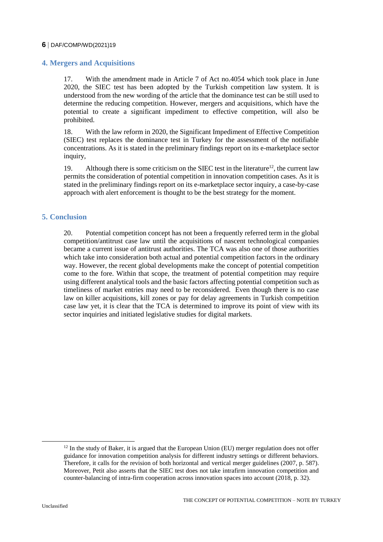#### **6** DAF/COMP/WD(2021)19

# **4. Mergers and Acquisitions**

17. With the amendment made in Article 7 of Act no.4054 which took place in June 2020, the SIEC test has been adopted by the Turkish competition law system. It is understood from the new wording of the article that the dominance test can be still used to determine the reducing competition. However, mergers and acquisitions, which have the potential to create a significant impediment to effective competition, will also be prohibited.

18. With the law reform in 2020, the Significant Impediment of Effective Competition (SIEC) test replaces the dominance test in Turkey for the assessment of the notifiable concentrations. As it is stated in the preliminary findings report on its e-marketplace sector inquiry,

19. Although there is some criticism on the SIEC test in the literature<sup>12</sup>, the current law permits the consideration of potential competition in innovation competition cases. As it is stated in the preliminary findings report on its e-marketplace sector inquiry, a case-by-case approach with alert enforcement is thought to be the best strategy for the moment.

# **5. Conclusion**

20. Potential competition concept has not been a frequently referred term in the global competition/antitrust case law until the acquisitions of nascent technological companies became a current issue of antitrust authorities. The TCA was also one of those authorities which take into consideration both actual and potential competition factors in the ordinary way. However, the recent global developments make the concept of potential competition come to the fore. Within that scope, the treatment of potential competition may require using different analytical tools and the basic factors affecting potential competition such as timeliness of market entries may need to be reconsidered. Even though there is no case law on killer acquisitions, kill zones or pay for delay agreements in Turkish competition case law yet, it is clear that the TCA is determined to improve its point of view with its sector inquiries and initiated legislative studies for digital markets.

 $\overline{a}$ 

 $12$  In the study of Baker, it is argued that the European Union (EU) merger regulation does not offer guidance for innovation competition analysis for different industry settings or different behaviors. Therefore, it calls for the revision of both horizontal and vertical merger guidelines (2007, p. 587). Moreover, Petit also asserts that the SIEC test does not take intrafirm innovation competition and counter-balancing of intra-firm cooperation across innovation spaces into account (2018, p. 32).